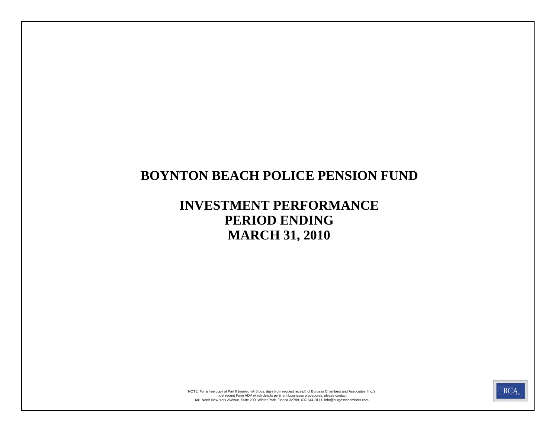# **BOYNTON BEACH POLICE PENSION FUND**

# **INVESTMENT PERFORMANCE PERIOD ENDING MARCH 31, 2010**



601 North New York Avenue, Suite 200, Winter Park, Florida 32789, 407-644-0111, info@burgesschambers.com most recent Form ADV which details pertinent businesss procedures, please contact: NOTE: For a free copy of Part II (mailed w/i 5 bus. days from request receipt) of Burgess Chambers and Associates, Inc.'s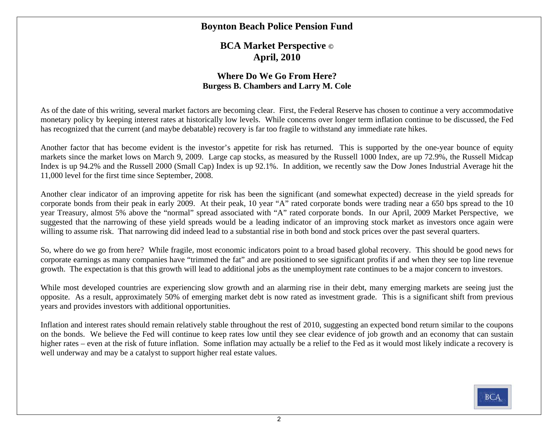#### **Boynton Beach Police Pension Fund**

**BCA Market Perspective © April, 2010** 

#### **Where Do We Go From Here? Burgess B. Chambers and Larry M. Cole**

As of the date of this writing, several market factors are becoming clear. First, the Federal Reserve has chosen to continue a very accommodative monetary policy by keeping interest rates at historically low levels. While concerns over longer term inflation continue to be discussed, the Fed has recognized that the current (and maybe debatable) recovery is far too fragile to withstand any immediate rate hikes.

Another factor that has become evident is the investor's appetite for risk has returned. This is supported by the one-year bounce of equity markets since the market lows on March 9, 2009. Large cap stocks, as measured by the Russell 1000 Index, are up 72.9%, the Russell Midcap Index is up 94.2% and the Russell 2000 (Small Cap) Index is up 92.1%. In addition, we recently saw the Dow Jones Industrial Average hit the 11,000 level for the first time since September, 2008.

Another clear indicator of an improving appetite for risk has been the significant (and somewhat expected) decrease in the yield spreads for corporate bonds from their peak in early 2009. At their peak, 10 year "A" rated corporate bonds were trading near a 650 bps spread to the 10 year Treasury, almost 5% above the "normal" spread associated with "A" rated corporate bonds. In our April, 2009 Market Perspective, we suggested that the narrowing of these yield spreads would be a leading indicator of an improving stock market as investors once again were willing to assume risk. That narrowing did indeed lead to a substantial rise in both bond and stock prices over the past several quarters.

So, where do we go from here? While fragile, most economic indicators point to a broad based global recovery. This should be good news for corporate earnings as many companies have "trimmed the fat" and are positioned to see significant profits if and when they see top line revenue growth. The expectation is that this growth will lead to additional jobs as the unemployment rate continues to be a major concern to investors.

While most developed countries are experiencing slow growth and an alarming rise in their debt, many emerging markets are seeing just the opposite. As a result, approximately 50% of emerging market debt is now rated as investment grade. This is a significant shift from previous years and provides investors with additional opportunities.

Inflation and interest rates should remain relatively stable throughout the rest of 2010, suggesting an expected bond return similar to the coupons on the bonds. We believe the Fed will continue to keep rates low until they see clear evidence of job growth and an economy that can sustain higher rates – even at the risk of future inflation. Some inflation may actually be a relief to the Fed as it would most likely indicate a recovery is well underway and may be a catalyst to support higher real estate values.

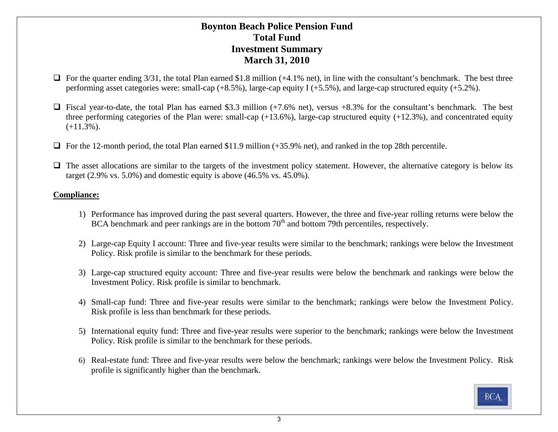#### **Boynton Beach Police Pension Fund Total FundInvestment Summary March 31, 2010**

- $\Box$  For the quarter ending 3/31, the total Plan earned \$1.8 million (+4.1% net), in line with the consultant's benchmark. The best three performing asset categories were: small-cap (+8.5%), large-cap equity I (+5.5%), and large-cap structured equity (+5.2%).
- $\Box$  Fiscal year-to-date, the total Plan has earned \$3.3 million (+7.6% net), versus +8.3% for the consultant's benchmark. The best three performing categories of the Plan were: small-cap  $(+13.6%)$ , large-cap structured equity  $(+12.3%)$ , and concentrated equity  $(+11.3\%)$ .
- $\Box$  For the 12-month period, the total Plan earned \$11.9 million (+35.9% net), and ranked in the top 28th percentile.
- $\Box$  The asset allocations are similar to the targets of the investment policy statement. However, the alternative category is below its target  $(2.9\% \text{ vs. } 5.0\%)$  and domestic equity is above  $(46.5\% \text{ vs. } 45.0\%).$

#### **Compliance:**

- 1) Performance has improved during the past several quarters. However, the three and five-year rolling returns were below the BCA benchmark and peer rankings are in the bottom 70<sup>th</sup> and bottom 79th percentiles, respectively.
- 2) Large-cap Equity I account: Three and five-year results were similar to the benchmark; rankings were below the Investment Policy. Risk profile is similar to the benchmark for these periods.
- 3) Large-cap structured equity account: Three and five-year results were below the benchmark and rankings were below the Investment Policy. Risk profile is similar to benchmark.
- 4) Small-cap fund: Three and five-year results were similar to the benchmark; rankings were below the Investment Policy. Risk profile is less than benchmark for these periods.
- 5) International equity fund: Three and five-year results were superior to the benchmark; rankings were below the Investment Policy. Risk profile is similar to the benchmark for these periods.
- 6) Real-estate fund: Three and five-year results were below the benchmark; rankings were below the Investment Policy. Risk profile is significantly higher than the benchmark.

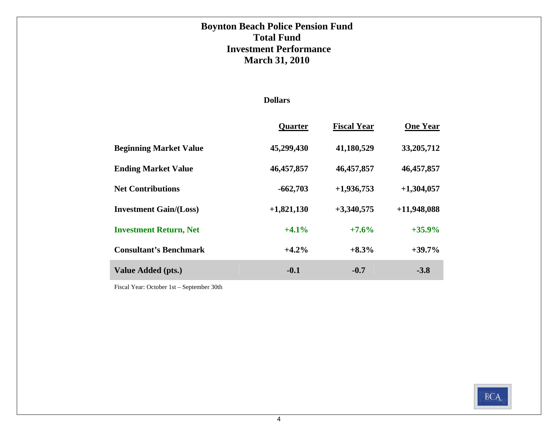### **Boynton Beach Police Pension Fund Total FundInvestment Performance March 31, 2010**

#### **Dollars**

|                               | Quarter      | <b>Fiscal Year</b> | <b>One Year</b> |
|-------------------------------|--------------|--------------------|-----------------|
| <b>Beginning Market Value</b> | 45,299,430   | 41,180,529         | 33,205,712      |
| <b>Ending Market Value</b>    | 46,457,857   | 46,457,857         | 46,457,857      |
| <b>Net Contributions</b>      | $-662,703$   | $+1,936,753$       | $+1,304,057$    |
| <b>Investment Gain/(Loss)</b> | $+1,821,130$ | $+3,340,575$       | $+11,948,088$   |
| <b>Investment Return, Net</b> | $+4.1%$      | $+7.6%$            | $+35.9%$        |
| <b>Consultant's Benchmark</b> | $+4.2%$      | $+8.3%$            | $+39.7%$        |
| <b>Value Added (pts.)</b>     | $-0.1$       | $-0.7$             | $-3.8$          |

Fiscal Year: October 1st – September 30th

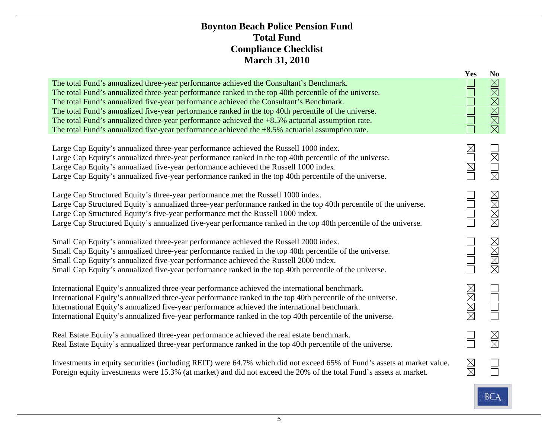### **Boynton Beach Police Pension Fund Total Fund Compliance Checklist March 31, 2010**

|                                                                                                                                                                                                                                                                                                                                                                                                                                                                                                                                                                                                                | Yes                                 | N <sub>0</sub>        |
|----------------------------------------------------------------------------------------------------------------------------------------------------------------------------------------------------------------------------------------------------------------------------------------------------------------------------------------------------------------------------------------------------------------------------------------------------------------------------------------------------------------------------------------------------------------------------------------------------------------|-------------------------------------|-----------------------|
| The total Fund's annualized three-year performance achieved the Consultant's Benchmark.<br>The total Fund's annualized three-year performance ranked in the top 40th percentile of the universe.<br>The total Fund's annualized five-year performance achieved the Consultant's Benchmark.<br>The total Fund's annualized five-year performance ranked in the top 40th percentile of the universe.<br>The total Fund's annualized three-year performance achieved the $+8.5\%$ actuarial assumption rate.<br>The total Fund's annualized five-year performance achieved the $+8.5%$ actuarial assumption rate. |                                     | XXXXXX                |
| Large Cap Equity's annualized three-year performance achieved the Russell 1000 index.<br>Large Cap Equity's annualized three-year performance ranked in the top 40th percentile of the universe.<br>Large Cap Equity's annualized five-year performance achieved the Russell 1000 index.<br>Large Cap Equity's annualized five-year performance ranked in the top 40th percentile of the universe.                                                                                                                                                                                                             | XOX                                 | MOML                  |
| Large Cap Structured Equity's three-year performance met the Russell 1000 index.<br>Large Cap Structured Equity's annualized three-year performance ranked in the top 40th percentile of the universe.<br>Large Cap Structured Equity's five-year performance met the Russell 1000 index.<br>Large Cap Structured Equity's annualized five-year performance ranked in the top 40th percentile of the universe.                                                                                                                                                                                                 |                                     | <b>NNNN</b>           |
| Small Cap Equity's annualized three-year performance achieved the Russell 2000 index.<br>Small Cap Equity's annualized three-year performance ranked in the top 40th percentile of the universe.<br>Small Cap Equity's annualized five-year performance achieved the Russell 2000 index.<br>Small Cap Equity's annualized five-year performance ranked in the top 40th percentile of the universe.                                                                                                                                                                                                             |                                     | XXXX                  |
| International Equity's annualized three-year performance achieved the international benchmark.<br>International Equity's annualized three-year performance ranked in the top 40th percentile of the universe.<br>International Equity's annualized five-year performance achieved the international benchmark.<br>International Equity's annualized five-year performance ranked in the top 40th percentile of the universe.                                                                                                                                                                                   | XXXX                                |                       |
| Real Estate Equity's annualized three-year performance achieved the real estate benchmark.<br>Real Estate Equity's annualized three-year performance ranked in the top 40th percentile of the universe.                                                                                                                                                                                                                                                                                                                                                                                                        |                                     | $\boxtimes \boxtimes$ |
| Investments in equity securities (including REIT) were 64.7% which did not exceed 65% of Fund's assets at market value.<br>Foreign equity investments were 15.3% (at market) and did not exceed the 20% of the total Fund's assets at market.                                                                                                                                                                                                                                                                                                                                                                  | ${\color{red} \boxtimes \boxtimes}$ |                       |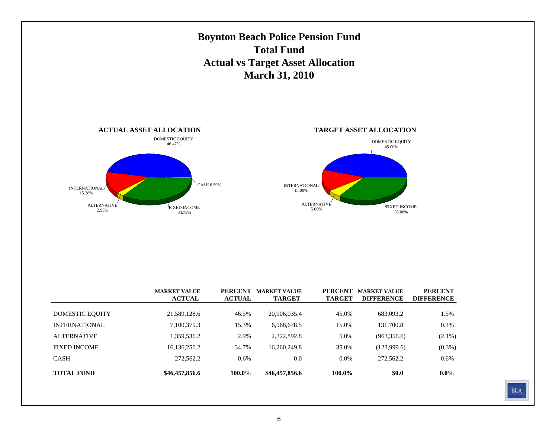

|                      | 11010111       | 110111 |                |         | интименен    | <i><u><b>DII I DIVOLVED</b></u></i> |
|----------------------|----------------|--------|----------------|---------|--------------|-------------------------------------|
|                      |                |        |                |         |              |                                     |
| DOMESTIC EQUITY      | 21,589,128.6   | 46.5%  | 20,906,035.4   | 45.0%   | 683,093.2    | 1.5%                                |
| <b>INTERNATIONAL</b> | 7,100,379.3    | 15.3%  | 6,968,678.5    | 15.0%   | 131,700.8    | 0.3%                                |
| <b>ALTERNATIVE</b>   | 1,359,536.2    | 2.9%   | 2.322.892.8    | 5.0%    | (963, 356.6) | $(2.1\%)$                           |
| <b>FIXED INCOME</b>  | 16,136,250.2   | 34.7%  | 16,260,249.8   | 35.0%   | (123,999.6)  | $(0.3\%)$                           |
| <b>CASH</b>          | 272,562.2      | 0.6%   | 0.0            | $0.0\%$ | 272,562.2    | 0.6%                                |
| <b>TOTAL FUND</b>    | \$46,457,856.6 | 100.0% | \$46,457,856.6 | 100.0%  | \$0.0        | $0.0\%$                             |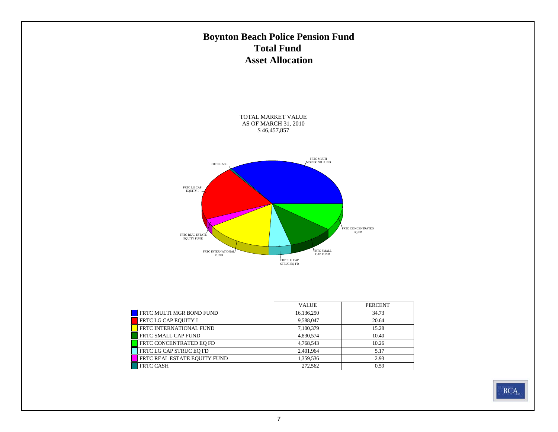## **Boynton Beach Police Pension Fund Total Fund Asset Allocation**

TOTAL MARKET VALUE AS OF MARCH 31, 2010 \$ 46,457,857



|                              | <b>VALUE</b> | <b>PERCENT</b> |
|------------------------------|--------------|----------------|
| FRTC MULTI MGR BOND FUND     | 16,136,250   | 34.73          |
| FRTC LG CAP EQUITY I         | 9,588,047    | 20.64          |
| FRTC INTERNATIONAL FUND      | 7,100,379    | 15.28          |
| FRTC SMALL CAP FUND          | 4,830,574    | 10.40          |
| FRTC CONCENTRATED EO FD      | 4,768,543    | 10.26          |
| FRTC LG CAP STRUC EQ FD      | 2,401,964    | 5.17           |
| FRTC REAL ESTATE EQUITY FUND | 1,359,536    | 2.93           |
| <b>FRTC CASH</b>             | 272,562      | 0.59           |

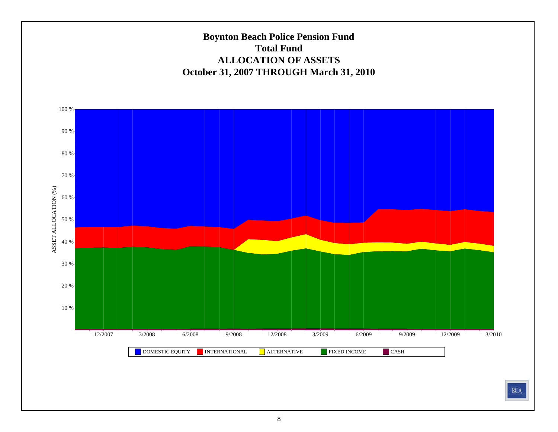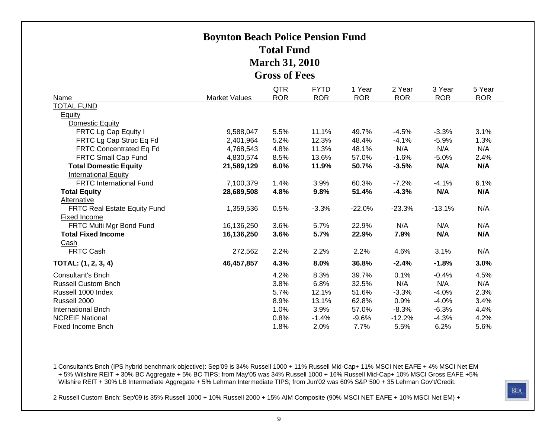## **Boynton Beach Police Pension Fund Total FundMarch 31, 2010 Gross of Fees**

| Name                           | <b>Market Values</b> | <b>QTR</b><br><b>ROR</b> | <b>FYTD</b><br><b>ROR</b> | 1 Year<br><b>ROR</b> | 2 Year<br><b>ROR</b> | 3 Year<br><b>ROR</b> | 5 Year<br><b>ROR</b> |
|--------------------------------|----------------------|--------------------------|---------------------------|----------------------|----------------------|----------------------|----------------------|
| <b>TOTAL FUND</b>              |                      |                          |                           |                      |                      |                      |                      |
| Equity                         |                      |                          |                           |                      |                      |                      |                      |
| Domestic Equity                |                      |                          |                           |                      |                      |                      |                      |
| FRTC Lg Cap Equity I           | 9,588,047            | 5.5%                     | 11.1%                     | 49.7%                | $-4.5%$              | $-3.3%$              | 3.1%                 |
| FRTC Lg Cap Struc Eq Fd        | 2,401,964            | 5.2%                     | 12.3%                     | 48.4%                | $-4.1%$              | $-5.9%$              | 1.3%                 |
| FRTC Concentrated Eq Fd        | 4,768,543            | 4.8%                     | 11.3%                     | 48.1%                | N/A                  | N/A                  | N/A                  |
| FRTC Small Cap Fund            | 4,830,574            | 8.5%                     | 13.6%                     | 57.0%                | $-1.6%$              | $-5.0%$              | 2.4%                 |
| <b>Total Domestic Equity</b>   | 21,589,129           | 6.0%                     | 11.9%                     | 50.7%                | $-3.5%$              | N/A                  | N/A                  |
| <b>International Equity</b>    |                      |                          |                           |                      |                      |                      |                      |
| <b>FRTC International Fund</b> | 7,100,379            | 1.4%                     | 3.9%                      | 60.3%                | $-7.2%$              | $-4.1%$              | 6.1%                 |
| <b>Total Equity</b>            | 28,689,508           | 4.8%                     | 9.8%                      | 51.4%                | $-4.3%$              | N/A                  | N/A                  |
| Alternative                    |                      |                          |                           |                      |                      |                      |                      |
| FRTC Real Estate Equity Fund   | 1,359,536            | 0.5%                     | $-3.3%$                   | $-22.0%$             | $-23.3%$             | $-13.1%$             | N/A                  |
| Fixed Income                   |                      |                          |                           |                      |                      |                      |                      |
| FRTC Multi Mgr Bond Fund       | 16,136,250           | 3.6%                     | 5.7%                      | 22.9%                | N/A                  | N/A                  | N/A                  |
| <b>Total Fixed Income</b>      | 16,136,250           | 3.6%                     | 5.7%                      | 22.9%                | 7.9%                 | N/A                  | N/A                  |
| Cash                           |                      |                          |                           |                      |                      |                      |                      |
| <b>FRTC Cash</b>               | 272,562              | 2.2%                     | 2.2%                      | 2.2%                 | 4.6%                 | 3.1%                 | N/A                  |
| TOTAL: (1, 2, 3, 4)            | 46,457,857           | 4.3%                     | 8.0%                      | 36.8%                | $-2.4%$              | $-1.8%$              | 3.0%                 |
| <b>Consultant's Bnch</b>       |                      | 4.2%                     | 8.3%                      | 39.7%                | 0.1%                 | $-0.4%$              | 4.5%                 |
| <b>Russell Custom Bnch</b>     |                      | 3.8%                     | 6.8%                      | 32.5%                | N/A                  | N/A                  | N/A                  |
| Russell 1000 Index             |                      | 5.7%                     | 12.1%                     | 51.6%                | $-3.3%$              | $-4.0%$              | 2.3%                 |
| Russell 2000                   |                      | 8.9%                     | 13.1%                     | 62.8%                | 0.9%                 | $-4.0%$              | 3.4%                 |
| <b>International Bnch</b>      |                      | 1.0%                     | 3.9%                      | 57.0%                | $-8.3%$              | $-6.3%$              | 4.4%                 |
| <b>NCREIF National</b>         |                      | 0.8%                     | $-1.4%$                   | $-9.6%$              | $-12.2%$             | $-4.3%$              | 4.2%                 |
| Fixed Income Bnch              |                      | 1.8%                     | 2.0%                      | 7.7%                 | 5.5%                 | 6.2%                 | 5.6%                 |

1 Consultant's Bnch (IPS hybrid benchmark objective): Sep'09 is 34% Russell 1000 + 11% Russell Mid-Cap+ 11% MSCI Net EAFE + 4% MSCI Net EM + 5% Wilshire REIT + 30% BC Aggregate + 5% BC TIPS; from May'05 was 34% Russell 1000 + 16% Russell Mid-Cap+ 10% MSCI Gross EAFE +5% Wilshire REIT + 30% LB Intermediate Aggregate + 5% Lehman Intermediate TIPS; from Jun'02 was 60% S&P 500 + 35 Lehman Gov't/Credit.

2 Russell Custom Bnch: Sep'09 is 35% Russell 1000 + 10% Russell 2000 + 15% AIM Composite (90% MSCI NET EAFE + 10% MSCI Net EM) +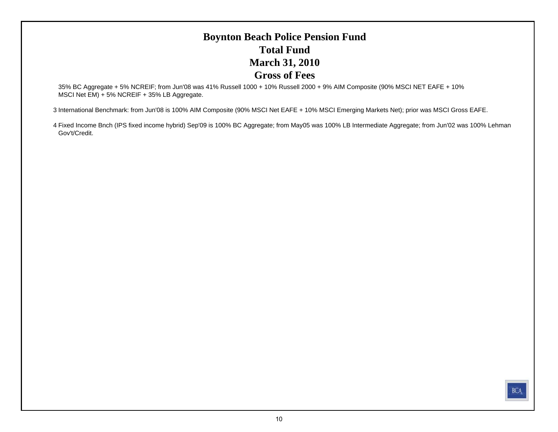## **Boynton Beach Police Pension Fund Total FundMarch 31, 2010 Gross of Fees**

35% BC Aggregate + 5% NCREIF; from Jun'08 was 41% Russell 1000 + 10% Russell 2000 + 9% AIM Composite (90% MSCI NET EAFE + 10% MSCI Net EM) + 5% NCREIF + 35% LB Aggregate.

3 International Benchmark: from Jun'08 is 100% AIM Composite (90% MSCI Net EAFE + 10% MSCI Emerging Markets Net); prior was MSCI Gross EAFE.

4 Fixed Income Bnch (IPS fixed income hybrid) Sep'09 is 100% BC Aggregate; from May05 was 100% LB Intermediate Aggregate; from Jun'02 was 100% Lehman Gov't/Credit.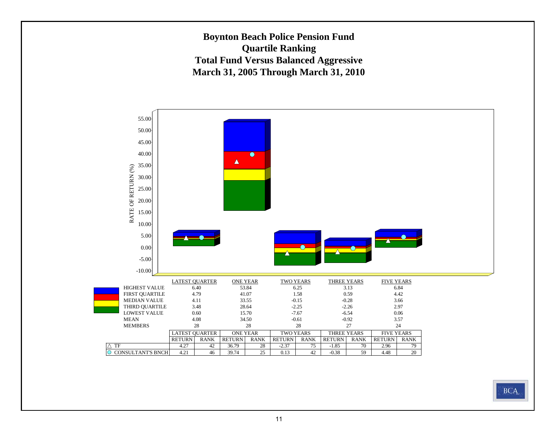**Boynton Beach Police Pension Fund Quartile Ranking Total Fund Versus Balanced Aggressive March 31, 2005 Through March 31, 2010**



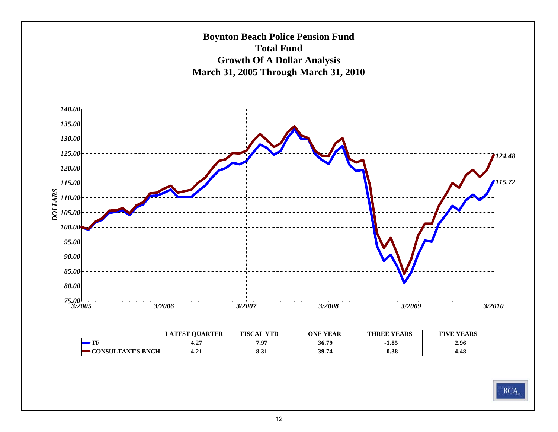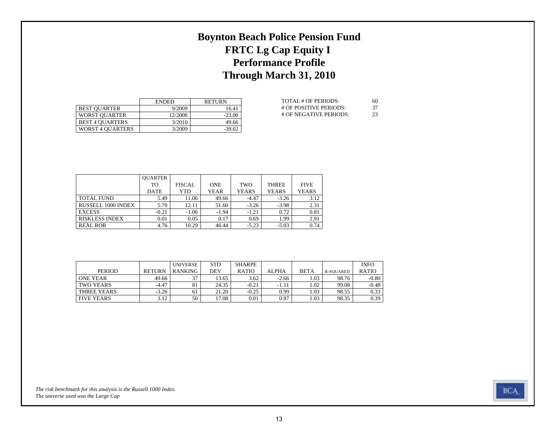## **Boynton Beach Police Pension Fund FRTC Lg Cap Equity I Performance Profile Through March 31, 2010**

|                         | <b>ENDED</b> | <b>RETURN</b> |
|-------------------------|--------------|---------------|
| <b>BEST OUARTER</b>     | 9/2009       | 16.41         |
| <b>WORST OUARTER</b>    | 12/2008      | $-23.00$      |
| <b>BEST 4 OUARTERS</b>  | 3/2010       | 49.66         |
| <b>WORST 4 OUARTERS</b> | 3/2009       | $-39.02$      |

| TOTAL # OF PERIODS:    | 60  |
|------------------------|-----|
| # OF POSITIVE PERIODS: | -37 |
| # OF NEGATIVE PERIODS: | 23  |

|                           | <b>OUARTER</b> |               |             |              |              |              |
|---------------------------|----------------|---------------|-------------|--------------|--------------|--------------|
|                           | TO             | <b>FISCAL</b> | <b>ONE</b>  | TWO          | <b>THREE</b> | <b>FIVE</b>  |
|                           | <b>DATE</b>    | YTD           | <b>YEAR</b> | <b>YEARS</b> | <b>YEARS</b> | <b>YEARS</b> |
| <b>TOTAL FUND</b>         | 5.49           | 11.06         | 49.66       | $-4.47$      | $-3.26$      | 3.12         |
| <b>RUSSELL 1000 INDEX</b> | 5.70           | 12.11         | 51.60       | $-3.26$      | $-3.98$      | 2.31         |
| <b>EXCESS</b>             | $-0.21$        | $-1.06$       | $-1.94$     | $-1.21$      | 0.72         | 0.81         |
| <b>RISKLESS INDEX</b>     | 0.01           | 0.05          | 0.17        | 0.69         | 1.99         | 2.91         |
| <b>REAL ROR</b>           | 4.76           | 10.29         | 46.44       | $-5.23$      | $-5.03$      | 0.74         |

|                   |               | <b>UNIVERSE</b> | <b>STD</b> | <b>SHARPE</b> |              |             |                  | <b>INFO</b>  |
|-------------------|---------------|-----------------|------------|---------------|--------------|-------------|------------------|--------------|
| <b>PERIOD</b>     | <b>RETURN</b> | <b>RANKING</b>  | DEV        | <b>RATIO</b>  | <b>ALPHA</b> | <b>BETA</b> | <b>R-SOUARED</b> | <b>RATIO</b> |
| <b>ONE YEAR</b>   | 49.66         | 27              | 13.65      | 3.62          | $-2.66$      | 1.03        | 98.76            | $-0.80$      |
| <b>TWO YEARS</b>  | $-4.47$       | 81              | 24.35      | $-0.21$       | $-1.11$      | 1.02        | 99.08            | $-0.48$      |
| THREE YEARS       | $-3.26$       | 61              | 21.20      | $-0.25$       | 0.99         | 1.03        | 98.55            | 0.33         |
| <b>FIVE YEARS</b> | 3.12          | 50              | 17.08      | 0.01          | 0.87         | 1.03        | 98.35            | 0.39         |

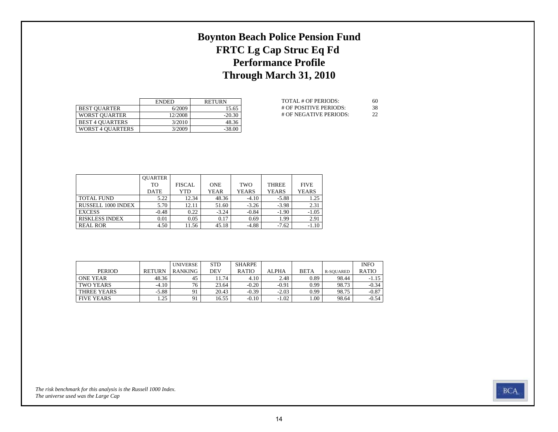## **Boynton Beach Police Pension Fund FRTC Lg Cap Struc Eq Fd Performance Profile Through March 31, 2010**

|                         | <b>ENDED</b> | <b>RETURN</b> |
|-------------------------|--------------|---------------|
| <b>BEST OUARTER</b>     | 6/2009       | 15.65         |
| <b>WORST OUARTER</b>    | 12/2008      | $-20.30$      |
| <b>BEST 4 OUARTERS</b>  | 3/2010       | 48.36         |
| <b>WORST 4 OUARTERS</b> | 3/2009       | $-38.00$      |

| TOTAL # OF PERIODS:    | 60 |
|------------------------|----|
| # OF POSITIVE PERIODS: | 38 |
| # OF NEGATIVE PERIODS: | 22 |

|                       | <b>OUARTER</b> |               |             |              |              |              |
|-----------------------|----------------|---------------|-------------|--------------|--------------|--------------|
|                       | TO.            | <b>FISCAL</b> | <b>ONE</b>  | TWO          | <b>THREE</b> | <b>FIVE</b>  |
|                       | <b>DATE</b>    | YTD           | <b>YEAR</b> | <b>YEARS</b> | <b>YEARS</b> | <b>YEARS</b> |
| <b>TOTAL FUND</b>     | 5.22           | 12.34         | 48.36       | $-4.10$      | $-5.88$      | 1.25         |
| RUSSELL 1000 INDEX    | 5.70           | 12.11         | 51.60       | $-3.26$      | $-3.98$      | 2.31         |
| <b>EXCESS</b>         | $-0.48$        | 0.22          | $-3.24$     | $-0.84$      | $-1.90$      | $-1.05$      |
| <b>RISKLESS INDEX</b> | 0.01           | 0.05          | 0.17        | 0.69         | 1.99         | 2.91         |
| <b>REAL ROR</b>       | 4.50           | 11.56         | 45.18       | $-4.88$      | $-7.62$      | $-1.10$      |

|                   |               | <b>UNIVERSE</b> | <b>STD</b> | <b>SHARPE</b> |              |             |                  | <b>INFO</b>  |
|-------------------|---------------|-----------------|------------|---------------|--------------|-------------|------------------|--------------|
| <b>PERIOD</b>     | <b>RETURN</b> | <b>RANKING</b>  | DEV        | <b>RATIO</b>  | <b>ALPHA</b> | <b>BETA</b> | <b>R-SOUARED</b> | <b>RATIO</b> |
| <b>ONE YEAR</b>   | 48.36         | 45              | . 1.74     | 4.10          | 2.48         | 0.89        | 98.44            | $-1.15$      |
| TWO YEARS         | $-4.10$       | 76              | 23.64      | $-0.20$       | $-0.91$      | 0.99        | 98.73            | $-0.34$      |
| THREE YEARS       | $-5.88$       |                 | 20.43      | $-0.39$       | $-2.03$      | 0.99        | 98.75            | $-0.87$      |
| <b>FIVE YEARS</b> | .25           |                 | 16.55      | $-0.10$       | $-1.02$      | .00.        | 98.64            | $-0.54$      |

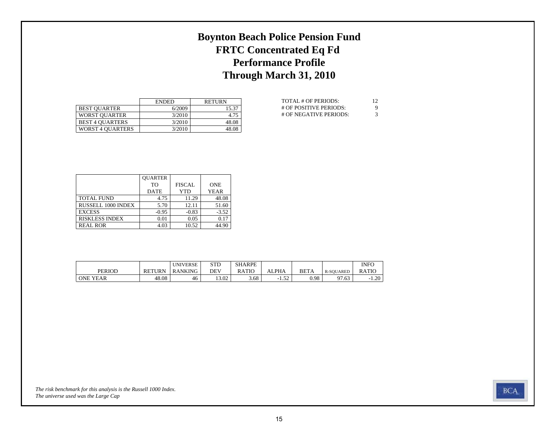## **Boynton Beach Police Pension Fund FRTC Concentrated Eq Fd Performance Profile Through March 31, 2010**

|                         | <b>ENDED</b> | <b>RETURN</b> |
|-------------------------|--------------|---------------|
| <b>BEST OUARTER</b>     | 6/2009       | 15.37         |
| <b>WORST OUARTER</b>    | 3/2010       | 4.75          |
| <b>BEST 4 OUARTERS</b>  | 3/2010       | 48.08         |
| <b>WORST 4 OUARTERS</b> | 3/2010       | 48.08         |

| TOTAL # OF PERIODS:    | -12 |
|------------------------|-----|
| # OF POSITIVE PERIODS: | 9   |
| # OF NEGATIVE PERIODS: | 3   |

|                       | <b>QUARTER</b> |               |             |
|-----------------------|----------------|---------------|-------------|
|                       | T <sub>O</sub> | <b>FISCAL</b> | <b>ONE</b>  |
|                       | <b>DATE</b>    | <b>YTD</b>    | <b>YEAR</b> |
| <b>TOTAL FUND</b>     | 4.75           | 11.29         | 48.08       |
| RUSSELL 1000 INDEX    | 5.70           | 12.11         | 51.60       |
| <b>EXCESS</b>         | $-0.95$        | $-0.83$       | $-3.52$     |
| <b>RISKLESS INDEX</b> | 0.01           | 0.05          | 0.17        |
| <b>REAL ROR</b>       | 4.03           | 10.52         | 44.90       |

|                 |               | <b>UNIVERSE</b> | CTD<br>ں 10 | <b>SHARPE</b> |                                   |             |                  | <b>INFO</b> |
|-----------------|---------------|-----------------|-------------|---------------|-----------------------------------|-------------|------------------|-------------|
| <b>PERIOD</b>   | <b>RETURN</b> | <b>RANKING</b>  | DEV         | RATIO         | ALPHA                             | <b>BETA</b> | <b>R-SOUARED</b> | RATIC       |
| <b>ONE YEAR</b> | 48.08         | 46              | 13.02       | 3.68          | $\epsilon$<br>- 1<br>1.J <i>L</i> | 0.98        | 97.63            | 1.20<br>-   |

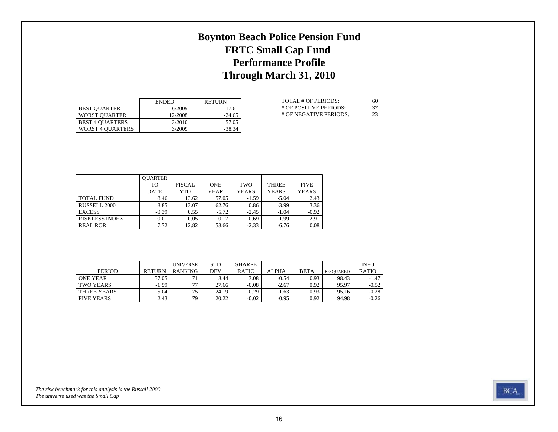## **Boynton Beach Police Pension Fund FRTC Small Cap Fund Performance Profile Through March 31, 2010**

|                         | <b>ENDED</b> | <b>RETURN</b> |
|-------------------------|--------------|---------------|
| <b>BEST OUARTER</b>     | 6/2009       | 17.61         |
| <b>WORST OUARTER</b>    | 12/2008      | $-24.65$      |
| <b>BEST 4 OUARTERS</b>  | 3/2010       | 57.05         |
| <b>WORST 4 OUARTERS</b> | 3/2009       | $-38.34$      |

| TOTAL # OF PERIODS:    | 60  |
|------------------------|-----|
| # OF POSITIVE PERIODS: | -37 |
| # OF NEGATIVE PERIODS: | 23  |

|                       | <b>OUARTER</b> |               |             |              |              |              |
|-----------------------|----------------|---------------|-------------|--------------|--------------|--------------|
|                       | TO             | <b>FISCAL</b> | <b>ONE</b>  | TWO          | <b>THREE</b> | <b>FIVE</b>  |
|                       | <b>DATE</b>    | YTD           | <b>YEAR</b> | <b>YEARS</b> | <b>YEARS</b> | <b>YEARS</b> |
| <b>TOTAL FUND</b>     | 8.46           | 13.62         | 57.05       | $-1.59$      | $-5.04$      | 2.43         |
| RUSSELL 2000          | 8.85           | 13.07         | 62.76       | 0.86         | $-3.99$      | 3.36         |
| <b>EXCESS</b>         | $-0.39$        | 0.55          | $-5.72$     | $-2.45$      | $-1.04$      | $-0.92$      |
| <b>RISKLESS INDEX</b> | 0.01           | 0.05          | 0.17        | 0.69         | 1.99         | 2.91         |
| <b>REAL ROR</b>       | 7.72           | 12.82         | 53.66       | $-2.33$      | $-6.76$      | 0.08         |

|                   |               | <b>UNIVERSE</b> | <b>STD</b> | <b>SHARPE</b> |              |             |           | <b>INFO</b>  |
|-------------------|---------------|-----------------|------------|---------------|--------------|-------------|-----------|--------------|
| <b>PERIOD</b>     | <b>RETURN</b> | <b>RANKING</b>  | DEV        | <b>RATIO</b>  | <b>ALPHA</b> | <b>BETA</b> | R-SOUARED | <b>RATIO</b> |
| <b>ONE YEAR</b>   | 57.05         | 71              | 18.44      | 3.08          | $-0.54$      | 0.93        | 98.43     | $-1.47$      |
| TWO YEARS         | $-1.59$       | 77              | 27.66      | $-0.08$       | $-2.67$      | 0.92        | 95.97     | $-0.52$      |
| THREE YEARS       | $-5.04$       | 75              | 24.19      | $-0.29$       | $-1.63$      | 0.93        | 95.16     | $-0.28$      |
| <b>FIVE YEARS</b> | 2.43          | 79              | 20.22      | $-0.02$       | $-0.95$      | 0.92        | 94.98     | $-0.26$      |

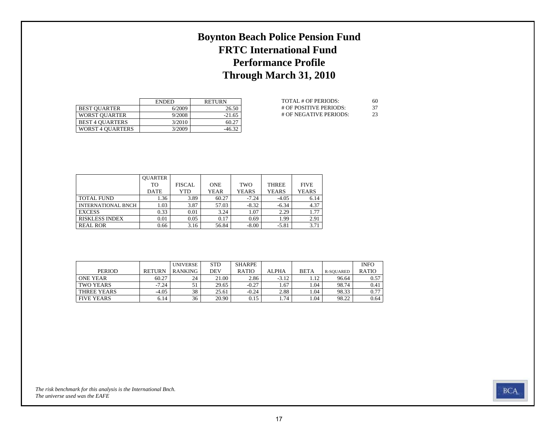## **Boynton Beach Police Pension Fund FRTC International Fund Performance Profile Through March 31, 2010**

|                         | <b>ENDED</b> | <b>RETURN</b> |
|-------------------------|--------------|---------------|
| <b>BEST OUARTER</b>     | 6/2009       | 26.50         |
| <b>WORST OUARTER</b>    | 9/2008       | $-21.65$      |
| <b>BEST 4 OUARTERS</b>  | 3/2010       | 60.27         |
| <b>WORST 4 OUARTERS</b> | 3/2009       | $-46.32$      |

| TOTAL # OF PERIODS:    | 60  |
|------------------------|-----|
| # OF POSITIVE PERIODS: | -37 |
| # OF NEGATIVE PERIODS: | 23  |

|                       | <b>OUARTER</b> |               |             |              |              |              |
|-----------------------|----------------|---------------|-------------|--------------|--------------|--------------|
|                       | TO             | <b>FISCAL</b> | <b>ONE</b>  | TWO          | <b>THREE</b> | <b>FIVE</b>  |
|                       | <b>DATE</b>    | YTD           | <b>YEAR</b> | <b>YEARS</b> | <b>YEARS</b> | <b>YEARS</b> |
| <b>TOTAL FUND</b>     | 1.36           | 3.89          | 60.27       | $-7.24$      | $-4.05$      | 6.14         |
| INTERNATIONAL BNCH    | 1.03           | 3.87          | 57.03       | $-8.32$      | $-6.34$      | 4.37         |
| <b>EXCESS</b>         | 0.33           | 0.01          | 3.24        | 1.07         | 2.29         | 1.77         |
| <b>RISKLESS INDEX</b> | 0.01           | 0.05          | 0.17        | 0.69         | 1.99         | 2.91         |
| <b>REAL ROR</b>       | 0.66           | 3.16          | 56.84       | $-8.00$      | $-5.81$      | 3.71         |

|                   |               | <b>UNIVERSE</b> | <b>STD</b> | <b>SHARPE</b> |              |             |                  | <b>INFO</b>  |
|-------------------|---------------|-----------------|------------|---------------|--------------|-------------|------------------|--------------|
| <b>PERIOD</b>     | <b>RETURN</b> | <b>RANKING</b>  | DEV        | <b>RATIO</b>  | <b>ALPHA</b> | <b>BETA</b> | <b>R-SOUARED</b> | <b>RATIO</b> |
| <b>ONE YEAR</b>   | 60.27         | 24              | 21.00      | 2.86          | $-3.12$      | 1.12        | 96.64            | 0.57         |
| <b>TWO YEARS</b>  | $-7.24$       |                 | 29.65      | $-0.27$       | 1.67         | 1.04        | 98.74            | 0.41         |
| THREE YEARS       | $-4.05$       | 38              | 25.61      | $-0.24$       | 2.88         | 1.04        | 98.33            | 0.77         |
| <b>FIVE YEARS</b> | 6.14          | 36              | 20.90      | 0.15          | 1.74         | 1.04        | 98.22            | 0.64         |

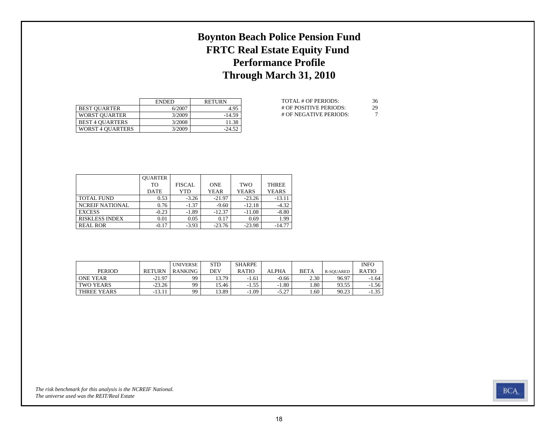## **Boynton Beach Police Pension Fund FRTC Real Estate Equity Fund Performance Profile Through March 31, 2010**

|                         | <b>ENDED</b> | <b>RETURN</b> |
|-------------------------|--------------|---------------|
| <b>BEST OUARTER</b>     | 6/2007       | 4.95          |
| <b>WORST OUARTER</b>    | 3/2009       | $-14.59$      |
| <b>BEST 4 OUARTERS</b>  | 3/2008       | 11.38         |
| <b>WORST 4 OUARTERS</b> | 3/2009       | $-24.52$      |

| TOTAL # OF PERIODS:    | 36 |
|------------------------|----|
| # OF POSITIVE PERIODS: | 29 |
| # OF NEGATIVE PERIODS: |    |

|                        | <b>OUARTER</b> |               |             |              |              |
|------------------------|----------------|---------------|-------------|--------------|--------------|
|                        | TО             | <b>FISCAL</b> | <b>ONE</b>  | <b>TWO</b>   | <b>THREE</b> |
|                        | <b>DATE</b>    | YTD           | <b>YEAR</b> | <b>YEARS</b> | <b>YEARS</b> |
| <b>TOTAL FUND</b>      | 0.53           | $-3.26$       | $-21.97$    | $-23.26$     | $-13.11$     |
| <b>NCREIF NATIONAL</b> | 0.76           | $-1.37$       | $-9.60$     | $-12.18$     | $-4.32$      |
| <b>EXCESS</b>          | $-0.23$        | $-1.89$       | $-12.37$    | $-11.08$     | $-8.80$      |
| <b>RISKLESS INDEX</b>  | 0.01           | 0.05          | 0.17        | 0.69         | 1.99         |
| <b>REAL ROR</b>        | $-0.17$        | $-3.93$       | $-23.76$    | $-23.98$     | $-14.77$     |

|                 |               | <b>UNIVERSE</b> | <b>STD</b> | <b>SHARPE</b> |         |             |           | <b>INFO</b>  |
|-----------------|---------------|-----------------|------------|---------------|---------|-------------|-----------|--------------|
| <b>PERIOD</b>   | <b>RETURN</b> | RANKING         | DEV        | <b>RATIO</b>  | ALPHA   | <b>BETA</b> | R-SOUARED | <b>RATIO</b> |
| <b>ONE YEAR</b> | $-21.97$      | 99              | 13.79      | $-1.61$       | $-0.66$ | 2.30        | 96.97     | $-1.64$      |
| TWO YEARS       | $-23.26$      | 99              | 15.46      | $-1.55$       | $-1.80$ | 80          | 93.55     | $-1.56$      |
| THREE YEARS     | $-13.11$      | 99              | 13.89      | $-1.09$       | $-5.27$ | . 60        | 90.23     | $-1.35$      |

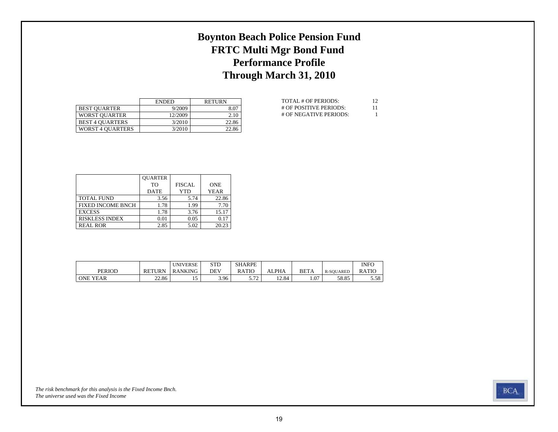## **Boynton Beach Police Pension Fund FRTC Multi Mgr Bond Fund Performance Profile Through March 31, 2010**

|                         | <b>ENDED</b> | <b>RETURN</b> |
|-------------------------|--------------|---------------|
| <b>BEST OUARTER</b>     | 9/2009       | 8.07          |
| <b>WORST OUARTER</b>    | 12/2009      | 2.10          |
| <b>BEST 4 OUARTERS</b>  | 3/2010       | 22.86         |
| <b>WORST 4 OUARTERS</b> | 3/2010       | 22.86         |

| TOTAL # OF PERIODS:    | 12 |
|------------------------|----|
| # OF POSITIVE PERIODS: | 11 |
| # OF NEGATIVE PERIODS: |    |

|                          | <b>OUARTER</b> |               |             |
|--------------------------|----------------|---------------|-------------|
|                          | T <sub>O</sub> | <b>FISCAL</b> | <b>ONE</b>  |
|                          | <b>DATE</b>    | <b>YTD</b>    | <b>YEAR</b> |
| <b>TOTAL FUND</b>        | 3.56           | 5.74          | 22.86       |
| <b>FIXED INCOME BNCH</b> | 1.78           | 1.99          | 7.70        |
| <b>EXCESS</b>            | 1.78           | 3.76          | 15.17       |
| <b>RISKLESS INDEX</b>    | 0.01           | 0.05          | 0.17        |
| <b>REAL ROR</b>          | 2.85           | 5.02          | 20.23       |

|                 |               | <b>UNIVERSE</b> | CTD<br>3 I D | <b>SHARPE</b> |       |             |                  | <b>INFO</b> |
|-----------------|---------------|-----------------|--------------|---------------|-------|-------------|------------------|-------------|
| <b>PERIOD</b>   | <b>RETURN</b> | <b>RANKING</b>  | DEV          | RATIO         | ALPHA | <b>BETA</b> | <b>R-SOUARED</b> | RATIC       |
| <b>ONE YEAR</b> | 22.86         |                 | 3.96         | $-72$<br>ے رہ | 12.84 | 1.07        | 58.85            | 5.58        |

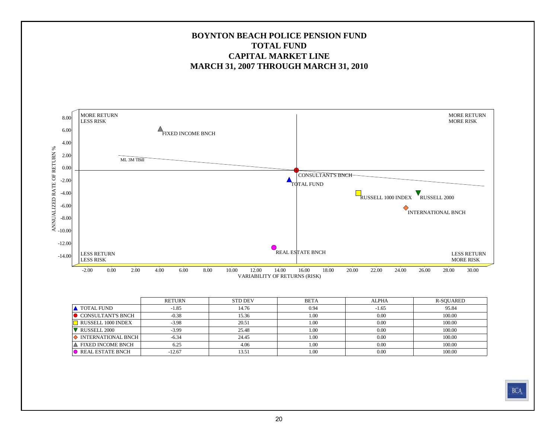#### **BOYNTON BEACH POLICE PENSION FUNDTOTAL FUNDCAPITAL MARKET LINEMARCH 31, 2007 THROUGH MARCH 31, 2010**



|                               | <b>RETURN</b> | <b>STD DEV</b> | <b>BETA</b> | <b>ALPHA</b> | R-SOUARED |
|-------------------------------|---------------|----------------|-------------|--------------|-----------|
| <b>A</b> TOTAL FUND           | $-1.85$       | 14.76          | 0.94        | $-1.65$      | 95.84     |
| CONSULTANT'S BNCH             | $-0.38$       | 15.36          | 1.00        | 0.00         | 100.00    |
| $\Box$ RUSSELL 1000 INDEX     | $-3.98$       | 20.51          | 1.00        | 0.00         | 100.00    |
| RUSSELL <sub>2000</sub>       | $-3.99$       | 25.48          | 1.00        | 0.00         | 100.00    |
| $\Diamond$ INTERNATIONAL BNCH | $-6.34$       | 24.45          | 1.00        | 0.00         | 100.00    |
| ∣▲ FIXED INCOME BNCH          | 6.25          | 4.06           | 1.00        | 0.00         | 100.00    |
| REAL ESTATE BNCH              | $-12.67$      | 13.51          | 1.00        | 0.00         | 100.00    |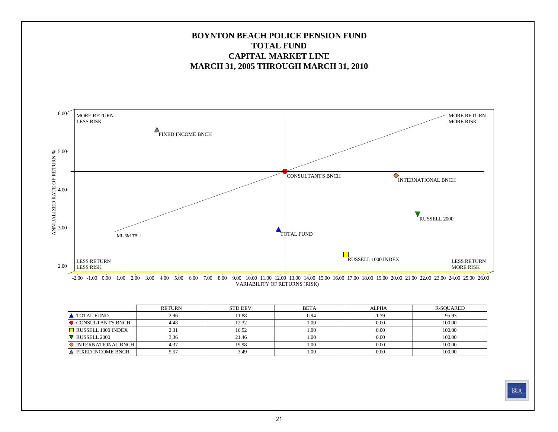

VARIABILITY OF RETURNS (RISK)

|                             | <b>RETURN</b> | <b>STD DEV</b> | <b>BETA</b> | ALPHA   | R-SOUARED |
|-----------------------------|---------------|----------------|-------------|---------|-----------|
| <b>A</b> TOTAL FUND         | 2.96          | 11.88          | 0.94        | $-1.39$ | 95.93     |
| $\bullet$ CONSULTANT'S BNCH | 4.48          | 12.32          | 1.00        | 0.00    | 100.00    |
| RUSSELL 1000 INDEX          | 2.31          | 16.52          | 1.00        | 0.00    | 100.00    |
| RUSSELL 2000                | 3.36          | 21.46          | 1.00        | 0.00    | 100.00    |
| INTERNATIONAL BNCH          | 4.37          | 19.98          | 1.00        | 0.00    | 100.00    |
| A FIXED INCOME BNCH         | 5.57          | 3.49           | 1.00        | 0.00    | 100.00    |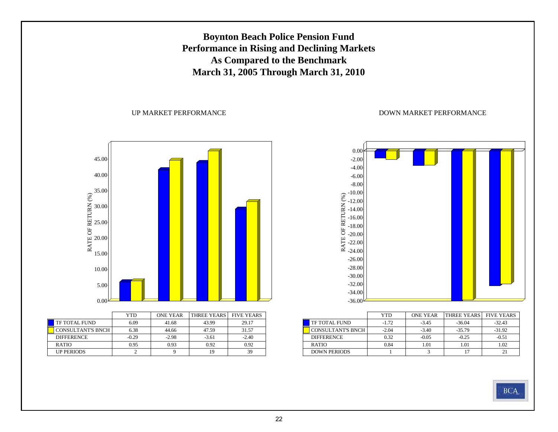## **Boynton Beach Police Pension Fund Performance in Rising and Declining Markets As Compared to the Benchmark March 31, 2005 Through March 31, 2010**

#### UP MARKET PERFORMANCE

DOWN MARKET PERFORMANCE



|                          | YTD     | <b>ONE YEAR</b> | <b>THREE YEARS</b> | <b>FIVE YEARS</b> |
|--------------------------|---------|-----------------|--------------------|-------------------|
| <b>TF TOTAL FUND</b>     | 6.09    | 41.68           | 43.99              | 29.17             |
| <b>CONSULTANT'S BNCH</b> | 6.38    | 44.66           | 47.59              | 31.57             |
| <b>DIFFERENCE</b>        | $-0.29$ | $-2.98$         | $-3.61$            | $-2.40$           |
| <b>RATIO</b>             | 0.95    | 0.93            | 0.92               | 0.92              |
| <b>UP PERIODS</b>        |         |                 | 19                 | 39                |



|                          | YTD     | <b>ONE YEAR</b> | <b>THREE YEARS</b> | <b>FIVE YEARS</b> |
|--------------------------|---------|-----------------|--------------------|-------------------|
| TF TOTAL FUND            | $-1.72$ | $-3.45$         | $-36.04$           | $-32.43$          |
| <b>CONSULTANT'S BNCH</b> | $-2.04$ | $-3.40$         | $-35.79$           | $-31.92$          |
| <b>DIFFERENCE</b>        | 0.32    | $-0.05$         | $-0.25$            | $-0.51$           |
| <b>RATIO</b>             | 0.84    | 1.01            | 1.01               | 1.02              |
| <b>DOWN PERIODS</b>      |         |                 | 17                 |                   |

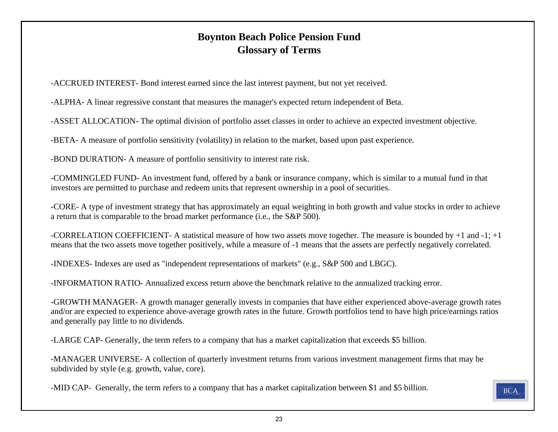## **Boynton Beach Police Pension Fund Glossary of Terms**

-ACCRUED INTEREST- Bond interest earned since the last interest payment, but not yet received.

-ALPHA- A linear regressive constant that measures the manager's expected return independent of Beta.

-ASSET ALLOCATION- The optimal division of portfolio asset classes in order to achieve an expected investment objective.

-BETA- A measure of portfolio sensitivity (volatility) in relation to the market, based upon past experience.

-BOND DURATION- A measure of portfolio sensitivity to interest rate risk.

-COMMINGLED FUND- An investment fund, offered by a bank or insurance company, which is similar to a mutual fund in that investors are permitted to purchase and redeem units that represent ownership in a pool of securities.

-CORE- A type of investment strategy that has approximately an equal weighting in both growth and value stocks in order to achieve a return that is comparable to the broad market performance (i.e., the S&P 500).

-CORRELATION COEFFICIENT- A statistical measure of how two assets move together. The measure is bounded by +1 and -1; +1 means that the two assets move together positively, while a measure of -1 means that the assets are perfectly negatively correlated.

-INDEXES- Indexes are used as "independent representations of markets" (e.g., S&P 500 and LBGC).

-INFORMATION RATIO- Annualized excess return above the benchmark relative to the annualized tracking error.

-GROWTH MANAGER- A growth manager generally invests in companies that have either experienced above-average growth rates and/or are expected to experience above-average growth rates in the future. Growth portfolios tend to have high price/earnings ratios and generally pay little to no dividends.

-LARGE CAP- Generally, the term refers to a company that has a market capitalization that exceeds \$5 billion.

-MANAGER UNIVERSE- A collection of quarterly investment returns from various investment management firms that may be subdivided by style (e.g. growth, value, core).

-MID CAP- Generally, the term refers to a company that has a market capitalization between \$1 and \$5 billion.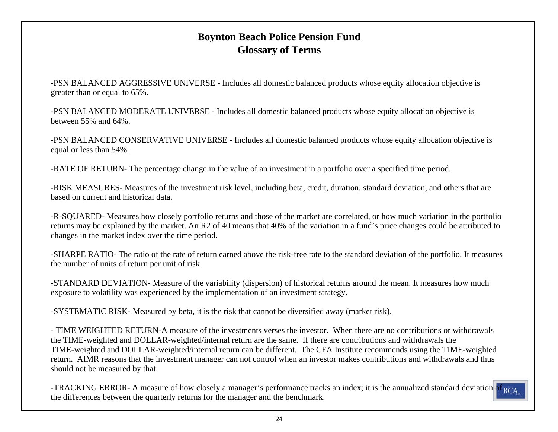## **Boynton Beach Police Pension Fund Glossary of Terms**

-PSN BALANCED AGGRESSIVE UNIVERSE - Includes all domestic balanced products whose equity allocation objective is greater than or equal to 65%.

-PSN BALANCED MODERATE UNIVERSE - Includes all domestic balanced products whose equity allocation objective is between 55% and 64%.

-PSN BALANCED CONSERVATIVE UNIVERSE - Includes all domestic balanced products whose equity allocation objective is equal or less than 54%.

-RATE OF RETURN- The percentage change in the value of an investment in a portfolio over a specified time period.

-RISK MEASURES- Measures of the investment risk level, including beta, credit, duration, standard deviation, and others that ar e based on current and historical data.

-R-SQUARED- Measures how closely portfolio returns and those of the market are correlated, or how much variation in the portfolio returns may be explained by the market. An R2 of 40 means that 40% of the variation in a fund's price changes could be attributed to changes in the market index over the time period.

-SHARPE RATIO- The ratio of the rate of return earned above the risk-free rate to the standard deviation of the portfolio. It measures the number of units of return per unit of risk.

-STANDARD DEVIATION- Measure of the variability (dispersion) of historical returns around the mean. It measures how much exposure to volatility was experienced by the implementation of an investment strategy.

-SYSTEMATIC RISK- Measured by beta, it is the risk that cannot be diversified away (market risk).

- TIME WEIGHTED RETURN-A measure of the investments verses the investor. When there are no contributions or withdrawalsthe TIME-weighted and DOLLAR-weighted/internal return are the same. If there are contributions and withdrawals the TIME-weighted and DOLLAR-weighted/internal return can be different. The CFA Institute recommends using the TIME-weighted return. AIMR reasons that the investment manager can not control when an investor makes contributions and withdrawals and thus should not be measured by that.

-TRACKING ERROR- A measure of how closely a manager's performance tracks an index; it is the annualized standard deviation of <sub>BCA</sub> the differences between the quarterly returns for the manager and the benchmark.